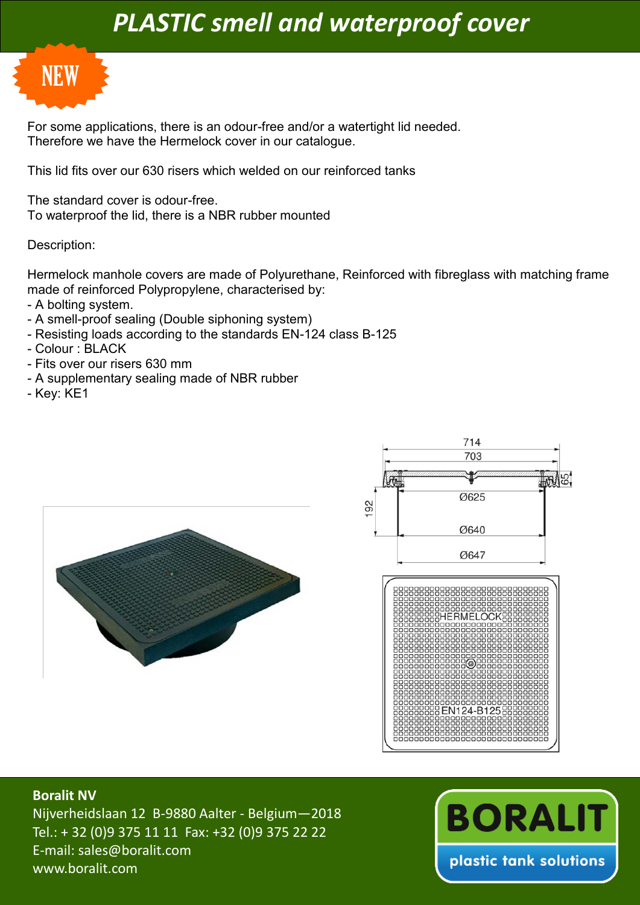## *PLASTIC smell and waterproof cover*



For some applications, there is an odour-free and/or a watertight lid needed. Therefore we have the Hermelock cover in our catalogue.

This lid fits over our 630 risers which welded on our reinforced tanks

The standard cover is odour-free. To waterproof the lid, there is a NBR rubber mounted

## Description:

Hermelock manhole covers are made of Polyurethane, Reinforced with fibreglass with matching frame made of reinforced Polypropylene, characterised by:

- A bolting system.
- A smell-proof sealing (Double siphoning system)
- Resisting loads according to the standards EN-124 class B-125
- Colour : BLACK
- Fits over our risers 630 mm
- A supplementary sealing made of NBR rubber
- Key: KE1







## **Boralit NV**

Nijverheidslaan 12 B-9880 Aalter - Belgium—2018 Tel.: + 32 (0)9 375 11 11 Fax: +32 (0)9 375 22 22 E-mail: sales@boralit.com www.boralit.com